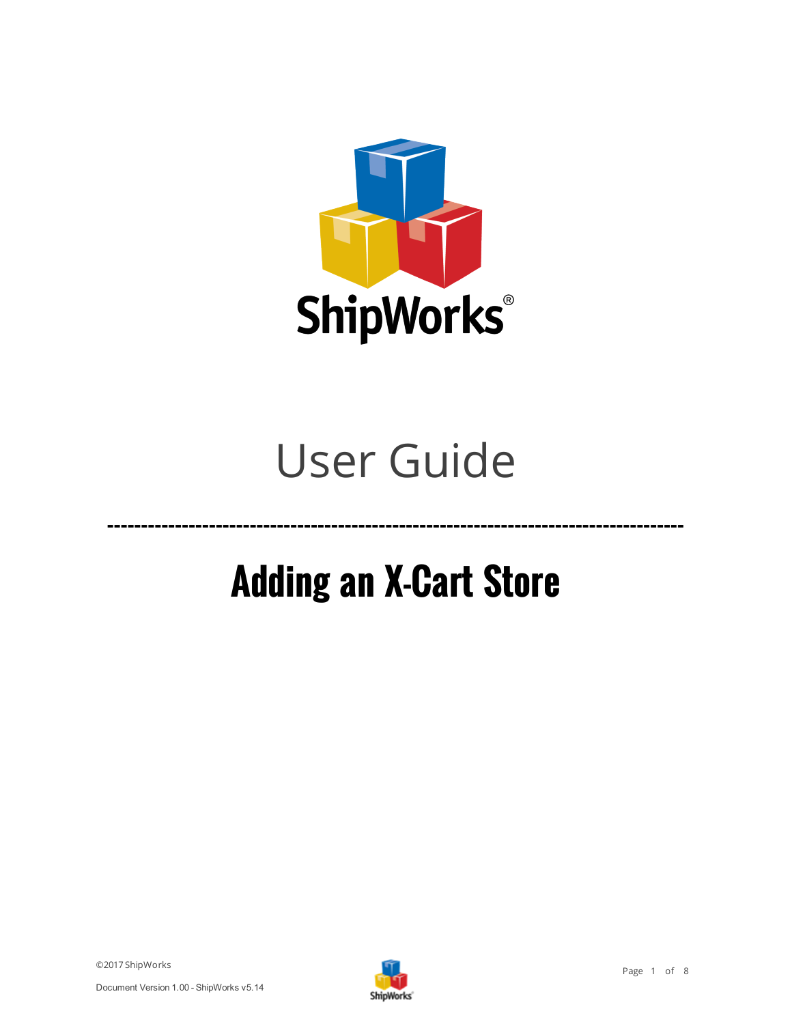

# User Guide

# **Adding an X-Cart Store**

**-------------------------------------------------------------------------------------**

©2017 ShipWorks

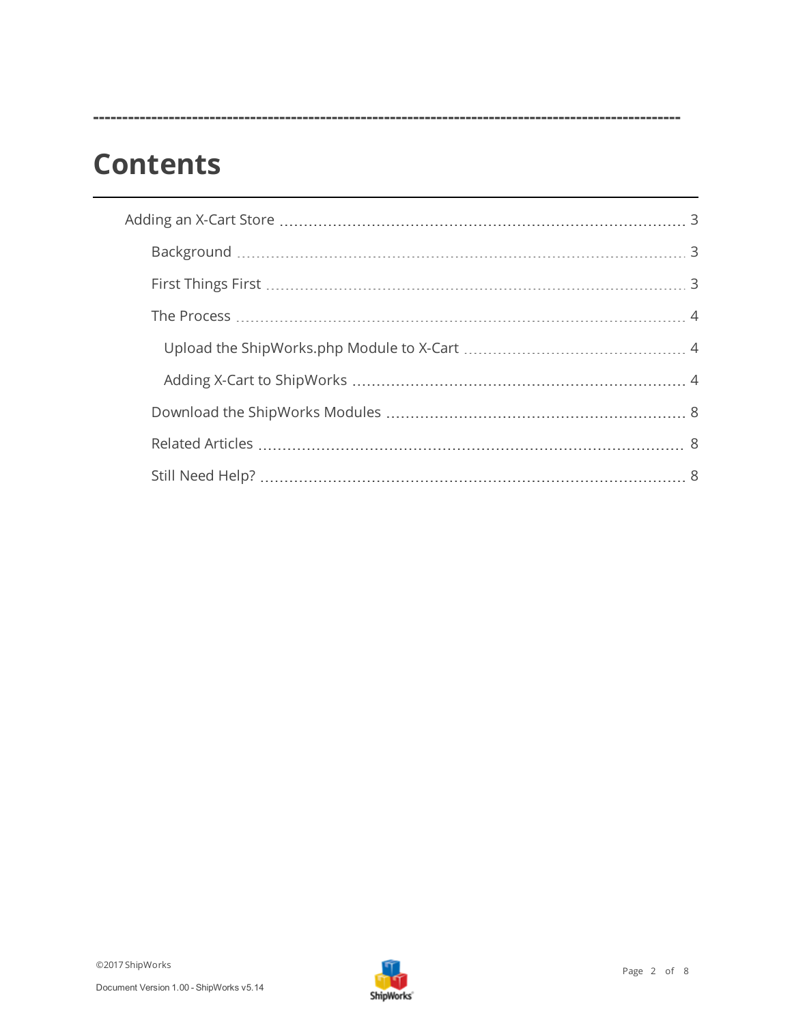## **Contents**

**-----------------------------------------------------------------------------------------------------**

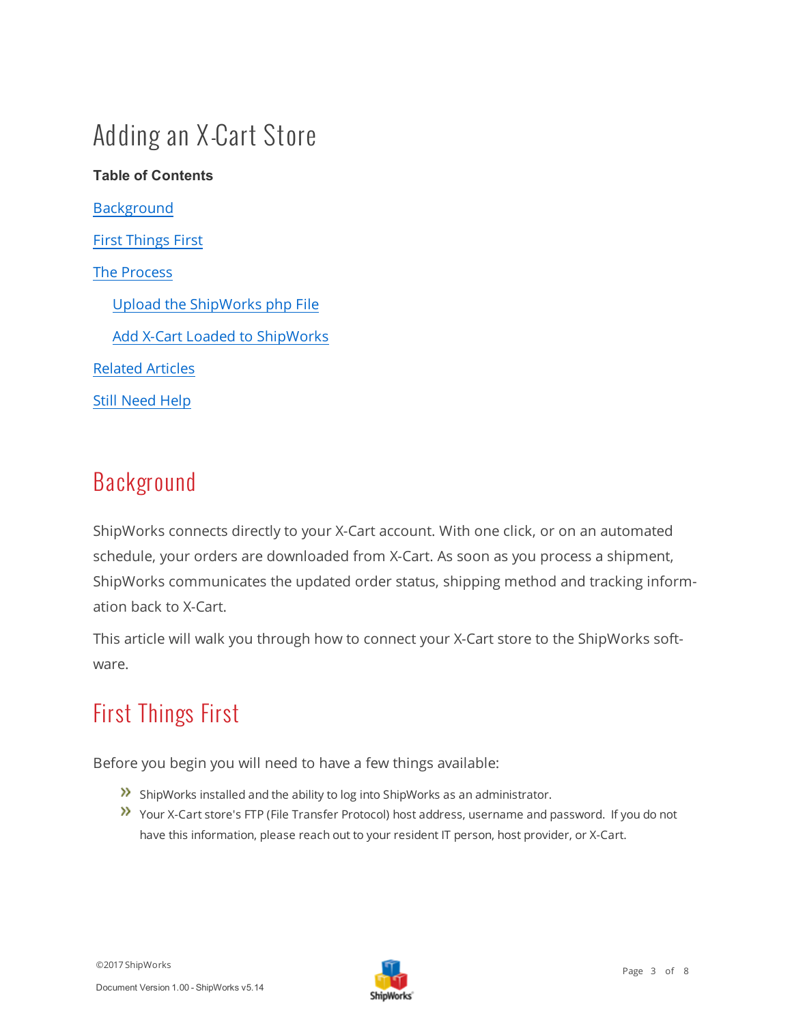## <span id="page-2-0"></span>Adding an X-Cart Store

## **Table of Contents** [Background](#page-2-1) First [Things](#page-2-2) First The [Process](#page-3-0) Upload the [ShipWorks](#page-3-1) php File Add X-Cart Loaded to [ShipWorks](#page-3-2) [Related](#page-7-1) Articles Still [Need](#page-7-3) Help

#### <span id="page-2-1"></span>Background

ShipWorks connects directly to your X-Cart account. With one click, or on an automated schedule, your orders are downloaded from X-Cart. As soon as you process a shipment, ShipWorks communicates the updated order status, shipping method and tracking information back to X-Cart.

<span id="page-2-2"></span>This article will walk you through how to connect your X-Cart store to the ShipWorks software.

## First Things First

Before you begin you will need to have a few things available:

- ShipWorks installed and the ability to log into ShipWorks as an administrator.
- Your X-Cart store's FTP (File Transfer Protocol) host address, username and password. If you do not have this information, please reach out to your resident IT person, host provider, or X-Cart.

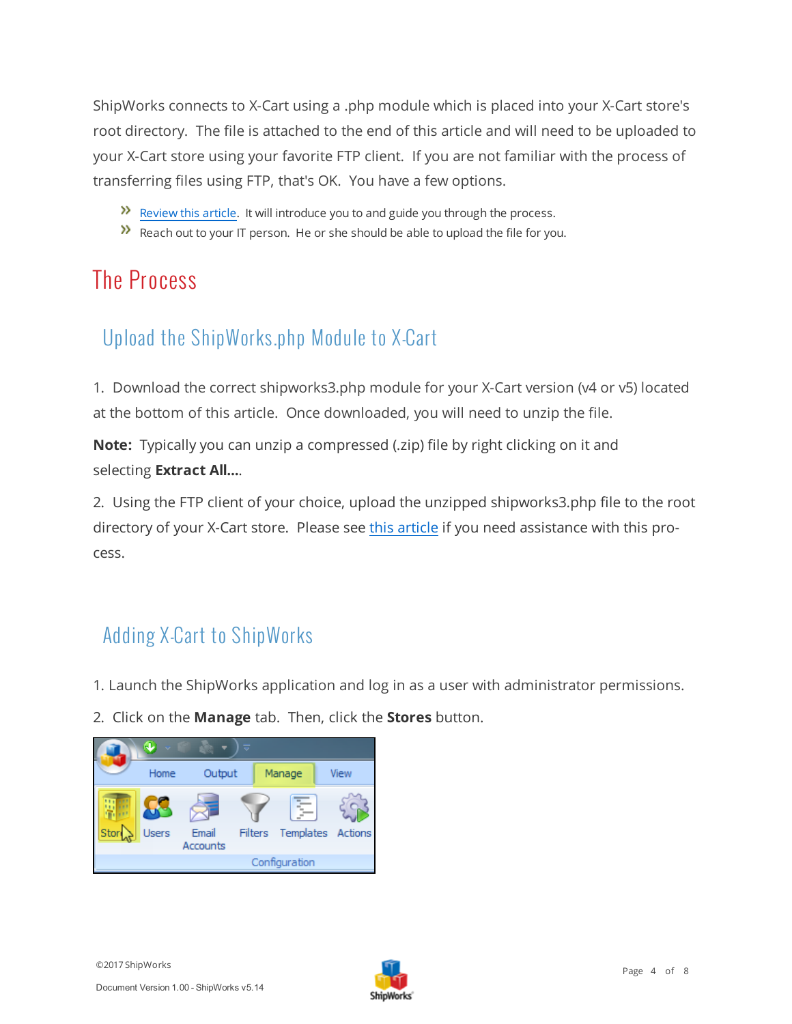ShipWorks connects to X-Cart using a .php module which is placed into your X-Cart store's root directory. The file is attached to the end of this article and will need to be uploaded to your X-Cart store using your favorite FTP client. If you are not familiar with the process of transferring files using FTP, that's OK. You have a few options.

- $\mathcal{V}$  [Review](http://support.shipworks.com/support/solutions/articles/4000043259) this article. It will introduce you to and guide you through the process.
- <span id="page-3-0"></span> $\lambda$  Reach out to your IT person. He or she should be able to upload the file for you.

#### <span id="page-3-1"></span>The Process

#### Upload the ShipWorks.php Module to X-Cart

1. Download the correct shipworks3.php module for your X-Cart version (v4 or v5) located at the bottom of this article. Once downloaded, you will need to unzip the file.

**Note:** Typically you can unzip a compressed (.zip) file by right clicking on it and selecting **Extract All...**.

2. Using the FTP client of your choice, upload the unzipped shipworks3.php file to the root directory of your X-Cart store. Please see this [article](http://support.shipworks.com/support/solutions/articles/4000043259) if you need assistance with this process.

#### <span id="page-3-2"></span>Adding X-Cart to ShipWorks

- 1. Launch the ShipWorks application and log in as a user with administrator permissions.
- 2. Click on the **Manage** tab. Then, click the **Stores** button.



Document Version 1.00 - ShipWorks v5.14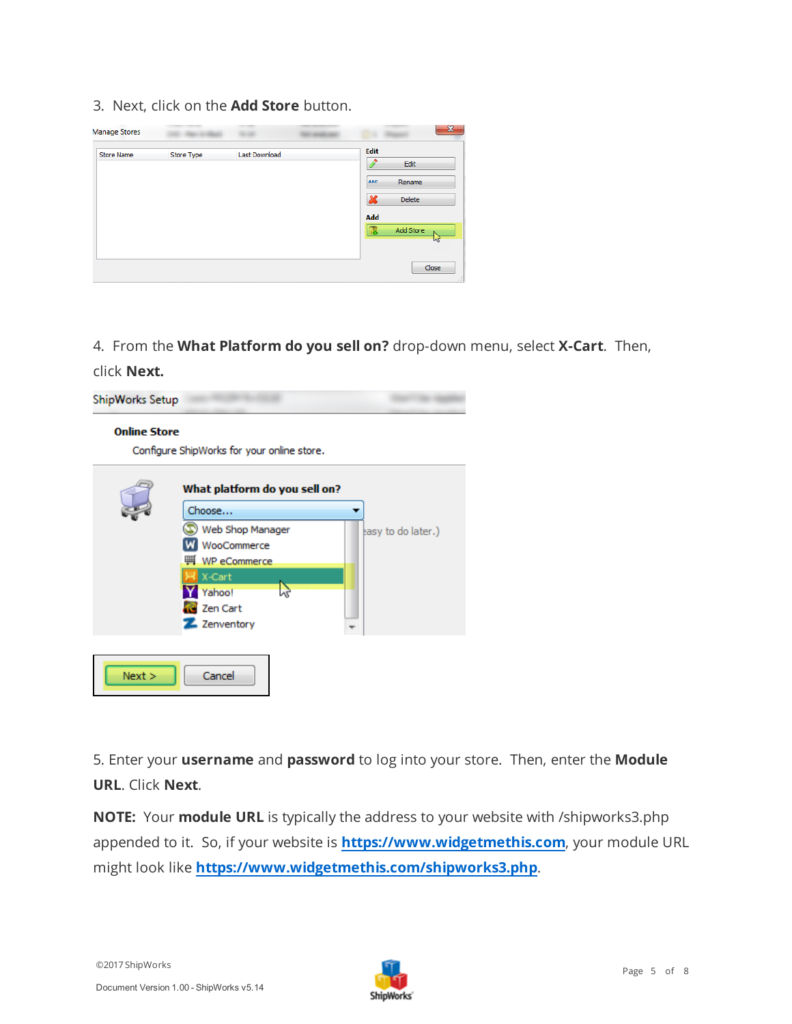3. Next, click on the **Add Store** button.

| <b>Manage Stores</b> |            |               |                                                                    |
|----------------------|------------|---------------|--------------------------------------------------------------------|
| <b>Store Name</b>    | Store Type | Last Download | <b>Edit</b><br>Edit                                                |
|                      |            |               | <b>ABC</b><br>Rename<br>$\boldsymbol{\mathsf{x}}$<br><b>Delete</b> |
|                      |            |               | Add                                                                |
|                      |            |               | Add Store<br>ĿБ<br>M                                               |
|                      |            |               | Close                                                              |

4. From the **What Platform do you sell on?** drop-down menu, select **X-Cart**. Then,

click **Next.**



5. Enter your **username** and **password** to log into your store. Then, enter the **Module URL**. Click **Next**.

**NOTE:** Your **module URL** is typically the address to your website with /shipworks3.php appended to it. So, if your website is **https://www.widgetmethis.com**, your module URL might look like **https://www.widgetmethis.com/shipworks3.php**.

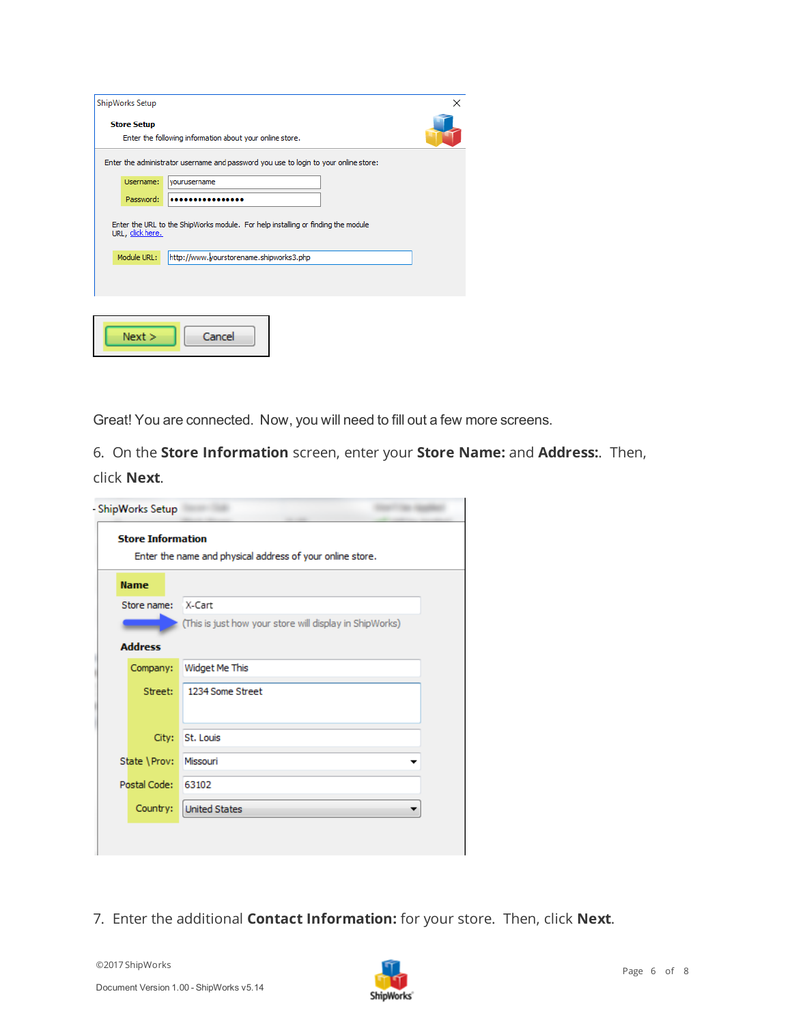| ShipWorks Setup    |                                                                                      | × |
|--------------------|--------------------------------------------------------------------------------------|---|
| <b>Store Setup</b> | Enter the following information about your online store.                             |   |
|                    | Enter the administrator username and password you use to login to your online store: |   |
| Username:          | vourusername                                                                         |   |
| Password:          |                                                                                      |   |
| URL, click here.   | Enter the URL to the ShipWorks module. For help installing or finding the module     |   |
| Module URL:        | http://www.yourstorename.shipworks3.php                                              |   |
|                    |                                                                                      |   |
|                    |                                                                                      |   |
|                    |                                                                                      |   |
| Next >             | Cancel                                                                               |   |

Great! You are connected. Now, you will need to fill out a few more screens.

6. On the **Store Information** screen, enter your **Store Name:** and **Address:**. Then, click **Next**.

| Enter the name and physical address of your online store. |                                                         |  |  |  |  |
|-----------------------------------------------------------|---------------------------------------------------------|--|--|--|--|
| <b>Name</b>                                               |                                                         |  |  |  |  |
| Store name:                                               | X-Cart                                                  |  |  |  |  |
|                                                           | (This is just how your store will display in ShipWorks) |  |  |  |  |
| <b>Address</b>                                            |                                                         |  |  |  |  |
| Company:                                                  | Widget Me This                                          |  |  |  |  |
| Street:                                                   | 1234 Some Street                                        |  |  |  |  |
|                                                           |                                                         |  |  |  |  |
| City:                                                     | St. Louis                                               |  |  |  |  |
| State \Prov:                                              | Missouri                                                |  |  |  |  |
| Postal Code:                                              | 63102                                                   |  |  |  |  |
| Country:                                                  | <b>United States</b>                                    |  |  |  |  |

7. Enter the additional **Contact Information:** for your store. Then, click **Next**.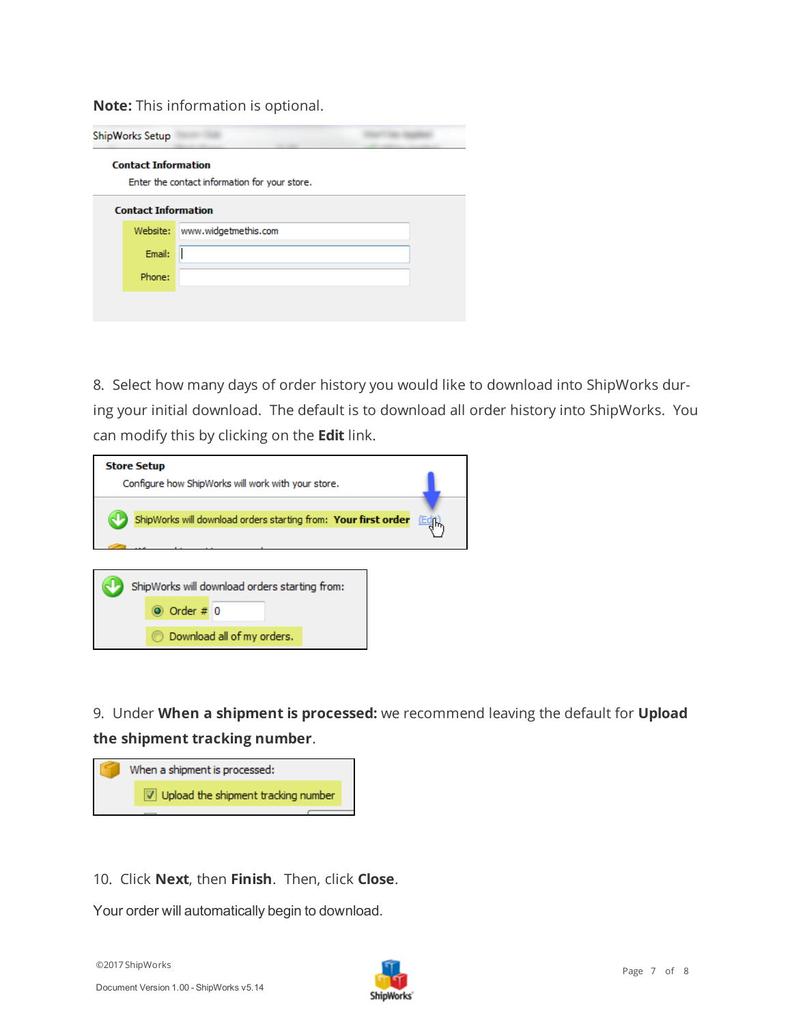**Note:** This information is optional.

|                                                                             | ShipWorks Setup            |                      |  |  |  |  |  |
|-----------------------------------------------------------------------------|----------------------------|----------------------|--|--|--|--|--|
| <b>Contact Information</b><br>Enter the contact information for your store. |                            |                      |  |  |  |  |  |
|                                                                             | <b>Contact Information</b> |                      |  |  |  |  |  |
|                                                                             | Website:                   | www.widgetmethis.com |  |  |  |  |  |
|                                                                             | Email:                     |                      |  |  |  |  |  |
|                                                                             | Phone:                     |                      |  |  |  |  |  |
|                                                                             |                            |                      |  |  |  |  |  |
|                                                                             |                            |                      |  |  |  |  |  |

8. Select how many days of order history you would like to download into ShipWorks during your initial download. The default is to download all order history into ShipWorks. You can modify this by clicking on the **Edit** link.

| <b>Store Setup</b><br>Configure how ShipWorks will work with your store.                   |  |
|--------------------------------------------------------------------------------------------|--|
| ShipWorks will download orders starting from: Your first order<br>(「回                      |  |
| ShipWorks will download orders starting from:<br>Order $# 0$<br>Download all of my orders. |  |

9. Under **When a shipment is processed:** we recommend leaving the default for **Upload the shipment tracking number**.



10. Click **Next**, then **Finish**. Then, click **Close**.

Your order will automatically begin to download.

©2017 ShipWorks